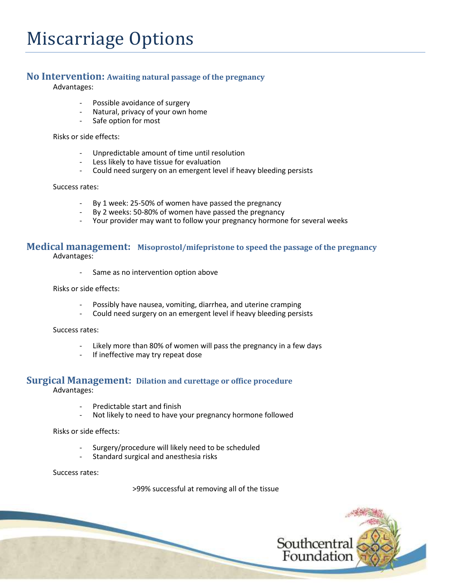# **No Intervention: Awaiting natural passage of the pregnancy**

Advantages:

- Possible avoidance of surgery
- Natural, privacy of your own home<br>- Safe ontion for most
- Safe option for most

Risks or side effects:

- Unpredictable amount of time until resolution
- Less likely to have tissue for evaluation
- Could need surgery on an emergent level if heavy bleeding persists

#### Success rates:

- By 1 week: 25-50% of women have passed the pregnancy
- By 2 weeks: 50-80% of women have passed the pregnancy
- Your provider may want to follow your pregnancy hormone for several weeks

# **Medical management: Misoprostol/mifepristone to speed the passage of the pregnancy**

Advantages:

- Same as no intervention option above

Risks or side effects:

- Possibly have nausea, vomiting, diarrhea, and uterine cramping
- Could need surgery on an emergent level if heavy bleeding persists

Success rates:

- Likely more than 80% of women will pass the pregnancy in a few days<br>- If ineffective may try repeat dose
- If ineffective may try repeat dose

# **Surgical Management: Dilation and curettage or office procedure** Advantages:

- Predictable start and finish
- Not likely to need to have your pregnancy hormone followed

Risks or side effects:

- Surgery/procedure will likely need to be scheduled
- Standard surgical and anesthesia risks

Success rates:

>99% successful at removing all of the tissue

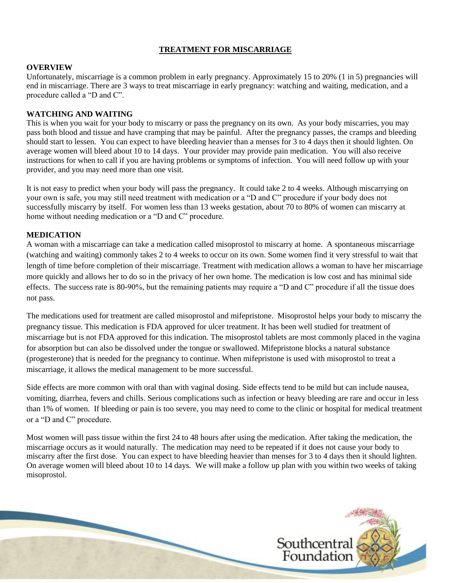#### **TREATMENT FOR MISCARRIAGE**

#### **OVERVIEW**

Unfortunately, miscarriage is a common problem in early pregnancy. Approximately 15 to 20% (1 in 5) pregnancies will end in miscarriage. There are 3 ways to treat miscarriage in early pregnancy: watching and waiting, medication, and a procedure called a "D and C".

## **WATCHING AND WAITING**

This is when you wait for your body to miscarry or pass the pregnancy on its own. As your body miscarries, you may pass both blood and tissue and have cramping that may be painful. After the pregnancy passes, the cramps and bleeding should start to lessen. You can expect to have bleeding heavier than a menses for 3 to 4 days then it should lighten. On average women will bleed about 10 to 14 days. Your provider may provide pain medication. You will also receive instructions for when to call if you are having problems or symptoms of infection. You will need follow up with your provider, and you may need more than one visit.

It is not easy to predict when your body will pass the pregnancy. It could take 2 to 4 weeks. Although miscarrying on your own is safe, you may still need treatment with medication or a "D and C" procedure if your body does not successfully miscarry by itself. For women less than 13 weeks gestation, about 70 to 80% of women can miscarry at home without needing medication or a "D and C" procedure.

## **MEDICATION**

A woman with a miscarriage can take a medication called misoprostol to miscarry at home. A spontaneous miscarriage (watching and waiting) commonly takes 2 to 4 weeks to occur on its own. Some women find it very stressful to wait that length of time before completion of their miscarriage. Treatment with medication allows a woman to have her miscarriage more quickly and allows her to do so in the privacy of her own home. The medication is low cost and has minimal side effects. The success rate is 80-90%, but the remaining patients may require a "D and C" procedure if all the tissue does not pass.

The medications used for treatment are called misoprostol and mifepristone. Misoprostol helps your body to miscarry the pregnancy tissue. This medication is FDA approved for ulcer treatment. It has been well studied for treatment of miscarriage but is not FDA approved for this indication. The misoprostol tablets are most commonly placed in the vagina for absorption but can also be dissolved under the tongue or swallowed. Mifepristone blocks a natural substance (progesterone) that is needed for the pregnancy to continue. When mifepristone is used with misoprostol to treat a miscarriage, it allows the medical management to be more successful.

Side effects are more common with oral than with vaginal dosing. Side effects tend to be mild but can include nausea, vomiting, diarrhea, fevers and chills. Serious complications such as infection or heavy bleeding are rare and occur in less than 1% of women. If bleeding or pain is too severe, you may need to come to the clinic or hospital for medical treatment or a "D and C" procedure.

Most women will pass tissue within the first 24 to 48 hours after using the medication. After taking the medication, the miscarriage occurs as it would naturally. The medication may need to be repeated if it does not cause your body to miscarry after the first dose. You can expect to have bleeding heavier than menses for 3 to 4 days then it should lighten. On average women will bleed about 10 to 14 days. We will make a follow up plan with you within two weeks of taking misoprostol.